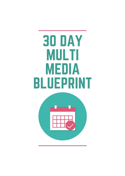# 30 DAY MULTI MEDIA BLUEPRINT

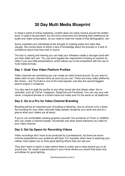# **30 Day Multi Media Blueprint**

In today's world of online marketing, content does not solely revolve around the written word. It used to be prevalent, but not more consumers are showing their preference for audio and video consumption, so you need to meet the needs of that demographic, too.

Some marketers are intimidated at the thought of creating audio and video files. Usually, this comes down to either a lack of knowledge about the process or a lack of confidence about how they look or sound.

The fact is, seeing and hearing you can help your followers create a stronger bond with you than static text can. You can even bypass the requirement of being on camera for video if you use slide presentations, which allows you to be competitive with the use of multi media formats.

#### **Day 1: Grab Your Video Platform Profiles**

Video channels are something you can create an entire brand around. So you want to stake claim to your channel name as soon as you can. There are many video platforms, like Vimeo – but YouTube is one of the most popular, and also the second biggest search engine in existence.

You also want to grab the profile on any other social site that allows video, live or recorded, such as TikTok, Instagram, SnapChat and Facebook. You can use your real name, a keyword phrase or a brand name but make sure it's the same on all platforms.

# **Day 2: Go to a Pro for Video Channel Branding**

Branding will be an important part of building a following. Like an eCover is for a book, the branding for your video channels helps people recognize your work and see at a glance what your videos are all about.

If you're not comfortable creating graphics yourself, hire someone on Fiverr or UpWork who can create a channel header, thumbnails and other brand elements you need for your video channel.

# **Day 3: Set Up Space for Recording Videos**

Video recordings don't have to be produced by a professional, but there are some minimal expectations your audience will have. For example, when they're watching your videos, they expect you to have good lighting where they can see you.

They don't want to watch a video where there is clutter and a mess behind you or all around you. So create a special place in your home where you record that looks nice and allows for good lighting.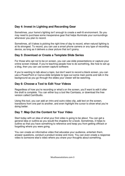# **Day 4: Invest in Lighting and Recording Gear**

Sometimes, your home's lighting isn't enough to create a well-lit environment. So you may need to purchase some inexpensive gear that helps illuminate your surroundings whenever you plan to record.

Sometimes, all it takes is picking the right time of day to record, when natural lighting is at its strongest. To record, you can use a smart phone camera or any type of recording device, as long as it delivers a clear picture that isn't grainy.

#### **Day 5: Download or Create a Template Slide Series**

For those who opt not to be on screen, you can use slide presentations or capture your online screen instead. If you're teaching people how to do something, like how to set up a blog, then you can use screen capture software.

If you're wanting to talk about a topic, but don't want to record a blank screen, you can use a PowerPoint or Canva slide template to type out some main points and talk in the background as you go through the slides your viewer will be watching.

#### **Day 6: Choose a Tool to Edit Your Videos**

Regardless of how you're recording or what's on the screen, you'll want to edit it after the draft is complete. You can either buy a tool like Camtasia, or download the free version called CamStudio.

Using this tool, you can add an intro and outro video clip, add text on the screen, transitions from one part to another, and even highlight the cursor to show what you're doing better.

# **Day 7: Map Out the Content for Your Video**

Start today with an idea of what your first video is going to be about. You can get a general idea or outline as you would the chapters for a book. Sometimes, it helps to outline so that you have something to reference and keep you from getting offtrack or forgetting where you were going.

You can create an informative video that educates your audience, entertain them, answer questions, conduct a product review and more. You can even create a response video to someone else's video where you share your thoughts about something.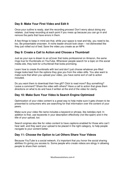#### **Day 8: Make Your First Video and Edit It**

Once your outline is ready, start the recording process! Don't worry about doing any retakes. Just keep recording at each point if you mess up because you can go in and remove the parts that have errors in them.

A few things to keep in mind are that, while your space is neat and tidy, you need to be, too. Be presentable onscreen. A niche leader should look clean – not disheveled like they just rolled out of bed. Save the video you create as an MP4.

#### **Day 9: Create a Call to Action and Choose a Thumbnail**

Just as your eye is drawn to an eCover that looks professional on Amazon, the same rings true for thumbnails on YouTube. Whenever people search for a topic on this social media site, they look for a thumbnail that looks promising.

Learn how to create thumbnails with text and don't just choose whatever pre-filled image looks best from the options they give you from the video stills. You also want to make sure that when you upload your video, you have some sort of call to action included.

Do you want them to download their free gift? Click to read more? Buy something? Leave a comment? Share the video with others? Have a call to action that gives them directions on what to do and have it written at the end of the video for clarity.

# **Day 10: Make Sure Your Video Is Search Engine Optimized**

Optimization of your video content is a great way to help make sure it gets chosen to be presented to consumers who are searching for that information over the content of your peers.

Make sure your video file name includes a keyword or phrase, like ketotips.mp4. In addition to that, use keywords in your description effectively (not like spam) and in the title of your upload, too.

Search engines also like for video content to have captions enabled for those who can't hear well, and they want your upload to be placed in the right category, to help people navigate to your content better.

# **Day 11: Choose the Option to Let Others Share Your Videos**

Because YouTube is a social network, it's important that you honor the social sharing abilities it's giving you access to. Some people who create videos are stingy in allowing people to share their content.

Musthavesolutions.com-4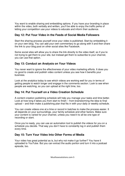You want to enable sharing and embedding options. If you have your branding in place within the video, both verbally and written, you'll be able to enjoy the traffic perks of letting your competition use your videos to educate and inform their audience.

#### **Day 12: Put Your Video in the Feeds of Social Media Followers**

Start the sharing process yourself once your video is published. Start by embedding it on your own blog. You can add your own commentary to go along with it and then share the link to your blog post on other social sites like Facebook.

Some social sites will allow you to share the link directly to the video itself, so if you're not trying to get them to your site, but instead get them to subscribe to your channel, you can use that option.

#### **Day 13: Conduct an Analysis on Your Videos**

You never want to ignore the effectiveness of your video marketing efforts. It does you no good to create and publish video content unless you see how it benefits your business.

Look at the analytics today to see which videos are working well for you in terms of getting people to watch longer and engage in the comments section. Look to see when people are watching, so you can upload at the right time, too.

#### **Day 14: Put Yourself on a Video Creation Schedule**

A content creation publishing schedule will help you manage your tasks and time better. Look at how long it takes you from start to finish – from brainstorming the idea to final upload – and then make a publishing plan that fits in with your daily or weekly schedule.

You can create videos one at a time or record in batches to make the process easier. It all depends on your surroundings, your family schedule and other factors. Make sure your content is varied for your channel, unless you need it to all be one type of recording or slant.

Once you're ready, you can use an automation tool to publish the videos for you on a schedule you decide. That way you don't have to constantly log in and publish them every time.

#### **Day 15: Turn Your Video Into Other Forms of Media**

Your video has great potential as is, but why not make it go further? You have it uploaded to YouTube. But you can extract the audio portion and turn it into a podcast episode, too.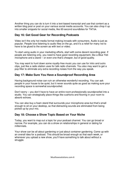Another thing you can do is turn it into a text-based transcript and use that content as a written blog post or post on your various social media accounts. You can also chop it up into smaller snippets for social media, like 60-second soundbites for TikTok.

# **Day 16: Get Good Gear for Recording Podcasts**

Video isn't the only hot media format making inroads with consumers. Audio is just as popular. People love listening to audio files on the go, and it's a relief for many not to have to be glued to the screen as with text or video.

To start using audio in your marketing efforts, start with some decent recording gear. If people are listening only, you need to have good recording equipment, like a Blue Yeti microphone and a stand – or even one that's cheaper, but of good quality.

You may want to hunt down some royalty-free music you can use for intro and outro clips, just like a radio station uses for talk radio channels. You also may want to get a pop filter to eliminate any extra recording noises from the way you speak.

# **Day 17: Make Sure You Have a Soundproof Recording Area**

Having background noise can ruin an otherwise wonderful recording. You can ask people in your house to be quiet, but it never sounds quite as good as making sure your recording space is somewhat soundproofed.

Don't worry – you don't have to have an entire room professionally soundproofed into a studio. You can strategically place things like cushions and flooring in your room to absorb echoes.

You can also buy a foam stand that surrounds your microphone area but that's small enough to sit on your desktop, so that distracting sounds are eliminated from being picked up by your mic.

# **Day 18: Choose a Show Topic Based on Your Niche**

Today, you want to map out a topic for your podcast channel. You can go broad or narrow. For example, you can do a show on relationships in general or dating for millennials.

Your show can be all about gardening or just about container gardening. Come up with an overall idea for a podcast. This should be broad enough so that each week, or whenever you upload a new show, you'll have something to talk about without a struggle.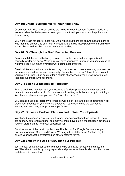#### **Day 19: Create Bulletpoints for Your First Show**

Once your main idea is ready, outline the notes for your first show. You can jot down a few reminders like bulletpoints to keep you on track with your topic and help the show flow smoothly.

You want to aim for approximately 20-30 minutes, but there are shows that are more or less than that amount, so don't worry if yours falls outside those parameters. Don't write a script because it will be obvious that you're reading.

#### **Day 20: Go Through the Draft Recording Process**

Before you hit the record button, you want to double check that your space is set up correctly to filter out noise. Make sure you have your notes in front of you and a glass of water to keep your mouth hydrated while doing a lot of talking.

Give it a little test run for a minute and play it back to see if there's anything you need to fix before you start recording in its entirety. Remember – you don't have to start over if you make a blunder. Just be quiet for a couple of seconds so you'll know where to edit that part out and resume recording.

#### **Day 21: Edit Your Episode to Perfection**

Even though you may feel as if you recorded a flawless presentation, chances are it needs to be cleaned up a bit. You can use audio editing tools like Audacity to do things like clean up places where you said "um" too often or "uh."

You can also use it to insert any promos as well as an intro and outro recording to help brand your podcast for your listening audience. Learn how to use the tool you're working with and bring your podcast to perfection.

#### **Day 22: Choose a Podcast Platform and Upload Your Episode**

You'll need to choose where you want to host your podcast and then upload it. There are so many different platforms, and many of them have built-in monetization options so you can start profiting from your subscriber list.

Consider some of the most popular ones, like Anchor.fm, Google Podcasts, Apple Podcasts, Amazon Music, and Spotify. Working with a platform like Anchor, they'll ensure your podcast is syndicated on other platforms for you.

#### **Day 23: Employ the Use of SEO for Your Podcast**

Just like text content, your audio files need to be optimized for search engines, too. You'll be able to do this by using keywords and phrases in the episode titles, file names and description area, too.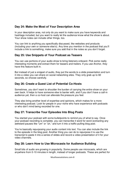# **Day 24: Make the Most of Your Description Area**

In your description area, not only do you want to make sure you have keywords and hashtags included, but you want to really let the audience know what the show is about. Your show notes can include other things, too.

You can link to anything you specifically discussed, like websites and products (including your own or someone else's). Any time you mention in the podcast that you'll include a link to something, make sure you add that in the notes so you don't forget.

#### **Day 25: Use Snippets of Your Podcast as Teasers**

You can use portions of your audio show to bring listeners onboard. Pick some really interesting moments and extract them for teasers and trailers. If you use Anchor, they have this feature built in.

But instead of just a snippet of audio, they put the words to a slide presentation and turn it into a video you can share on social networking sites. They only grab up to 60 seconds, so choose carefully.

# **Day 26: Create a Guest List of Potential Co-Hosts**

Sometimes, you don't want to shoulder the burden of carrying the entire show on your own back. It helps to have someone else to banter with, and if you don't have a call-in audience yet, then a co-host can alleviate the pressure you feel.

They also bring another level of expertise and opinions, which makes for a more interesting podcast. Look for people in your niche who have experience with podcasts or who don't mind being recorded for one.

# **Day 27: Transcribe Your Episodes Into Blog Posts**

You started your podcast with some bulletpoints to remind you of what to say. Once your podcast recording is complete, you can transcribe it word for word (extracting any awkward pauses like "um" or "uh," and turn it into a traffic-pulling blog post.

You're basically repurposing your audio content into text. You can also include the link to the episode in the blog post. Another thing you can do to repurpose it is use the transcript to paste it into a series of slides and record a video presentation of it for your video channels.

#### **Day 28: Learn How to Use Microcasts for Audience Building**

Small bits of audio are growing in popularity. Some people use microcasts, which are anywhere from 0-10 minutes in length, instead of longer podcasts. These are perfect for